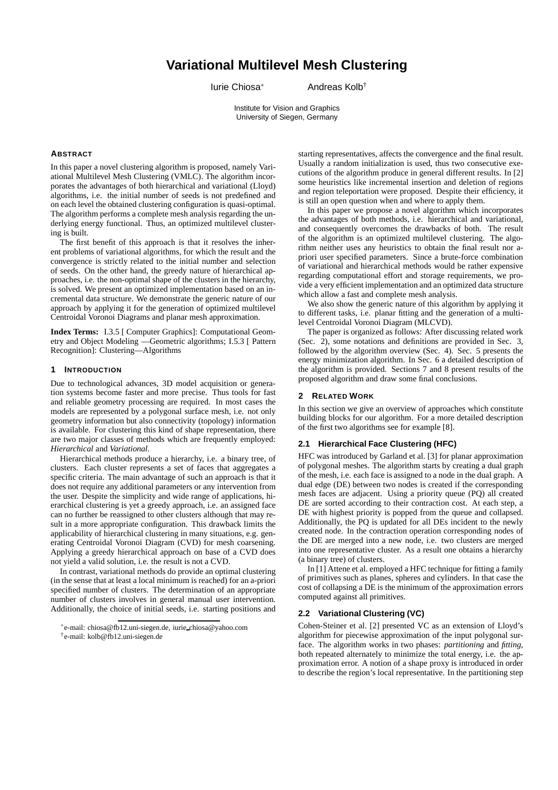# **Variational Multilevel Mesh Clustering**

Iurie Chiosa<sup>∗</sup> Andreas Kolb†

Institute for Vision and Graphics University of Siegen, Germany

## **ABSTRACT**

In this paper a novel clustering algorithm is proposed, namely Variational Multilevel Mesh Clustering (VMLC). The algorithm incorporates the advantages of both hierarchical and variational (Lloyd) algorithms, i.e. the initial number of seeds is not predefined and on each level the obtained clustering configuration is quasi-optimal. The algorithm performs a complete mesh analysis regarding the underlying energy functional. Thus, an optimized multilevel clustering is built.

The first benefit of this approach is that it resolves the inherent problems of variational algorithms, for which the result and the convergence is strictly related to the initial number and selection of seeds. On the other hand, the greedy nature of hierarchical approaches, i.e. the non-optimal shape of the clusters in the hierarchy, is solved. We present an optimized implementation based on an incremental data structure. We demonstrate the generic nature of our approach by applying it for the generation of optimized multilevel Centroidal Voronoi Diagrams and planar mesh approximation.

**Index Terms:** I.3.5 [ Computer Graphics]: Computational Geometry and Object Modeling —Geometric algorithms; I.5.3 [ Pattern Recognition]: Clustering—Algorithms

## **1 INTRODUCTION**

Due to technological advances, 3D model acquisition or generation systems become faster and more precise. Thus tools for fast and reliable geometry processing are required. In most cases the models are represented by a polygonal surface mesh, i.e. not only geometry information but also connectivity (topology) information is available. For clustering this kind of shape representation, there are two major classes of methods which are frequently employed: *Hierarchical* and *Variational*.

Hierarchical methods produce a hierarchy, i.e. a binary tree, of clusters. Each cluster represents a set of faces that aggregates a specific criteria. The main advantage of such an approach is that it does not require any additional parameters or any intervention from the user. Despite the simplicity and wide range of applications, hierarchical clustering is yet a greedy approach, i.e. an assigned face can no further be reassigned to other clusters although that may result in a more appropriate configuration. This drawback limits the applicability of hierarchical clustering in many situations, e.g. generating Centroidal Voronoi Diagram (CVD) for mesh coarsening. Applying a greedy hierarchical approach on base of a CVD does not yield a valid solution, i.e. the result is not a CVD.

In contrast, variational methods do provide an optimal clustering (in the sense that at least a local minimum is reached) for an a-priori specified number of clusters. The determination of an appropriate number of clusters involves in general manual user intervention. Additionally, the choice of initial seeds, i.e. starting positions and starting representatives, affects the convergence and the final result. Usually a random initialization is used, thus two consecutive executions of the algorithm produce in general different results. In [2] some heuristics like incremental insertion and deletion of regions and region teleportation were proposed. Despite their efficiency, it is still an open question when and where to apply them.

In this paper we propose a novel algorithm which incorporates the advantages of both methods, i.e. hierarchical and variational, and consequently overcomes the drawbacks of both. The result of the algorithm is an optimized multilevel clustering. The algorithm neither uses any heuristics to obtain the final result nor apriori user specified parameters. Since a brute-force combination of variational and hierarchical methods would be rather expensive regarding computational effort and storage requirements, we provide a very efficient implementation and an optimized data structure which allow a fast and complete mesh analysis.

We also show the generic nature of this algorithm by applying it to different tasks, i.e. planar fitting and the generation of a multilevel Centroidal Voronoi Diagram (MLCVD).

The paper is organized as follows: After discussing related work (Sec. 2), some notations and definitions are provided in Sec. 3, followed by the algorithm overview (Sec. 4). Sec. 5 presents the energy minimization algorithm. In Sec. 6 a detailed description of the algorithm is provided. Sections 7 and 8 present results of the proposed algorithm and draw some final conclusions.

## **2 RELATED WORK**

In this section we give an overview of approaches which constitute building blocks for our algorithm. For a more detailed description of the first two algorithms see for example [8].

## **2.1 Hierarchical Face Clustering (HFC)**

HFC was introduced by Garland et al. [3] for planar approximation of polygonal meshes. The algorithm starts by creating a dual graph of the mesh, i.e. each face is assigned to a node in the dual graph. A dual edge (DE) between two nodes is created if the corresponding mesh faces are adjacent. Using a priority queue (PQ) all created DE are sorted according to their contraction cost. At each step, a DE with highest priority is popped from the queue and collapsed. Additionally, the PQ is updated for all DEs incident to the newly created node. In the contraction operation corresponding nodes of the DE are merged into a new node, i.e. two clusters are merged into one representative cluster. As a result one obtains a hierarchy (a binary tree) of clusters.

In [1] Attene et al. employed a HFC technique for fitting a family of primitives such as planes, spheres and cylinders. In that case the cost of collapsing a DE is the minimum of the approximation errors computed against all primitives.

# **2.2 Variational Clustering (VC)**

Cohen-Steiner et al. [2] presented VC as an extension of Lloyd's algorithm for piecewise approximation of the input polygonal surface. The algorithm works in two phases: *partitioning* and *fitting*, both repeated alternately to minimize the total energy, i.e. the approximation error. A notion of a shape proxy is introduced in order to describe the region's local representative. In the partitioning step

<sup>∗</sup> e-mail: chiosa@fb12.uni-siegen.de, iurie chiosa@yahoo.com † e-mail: kolb@fb12.uni-siegen.de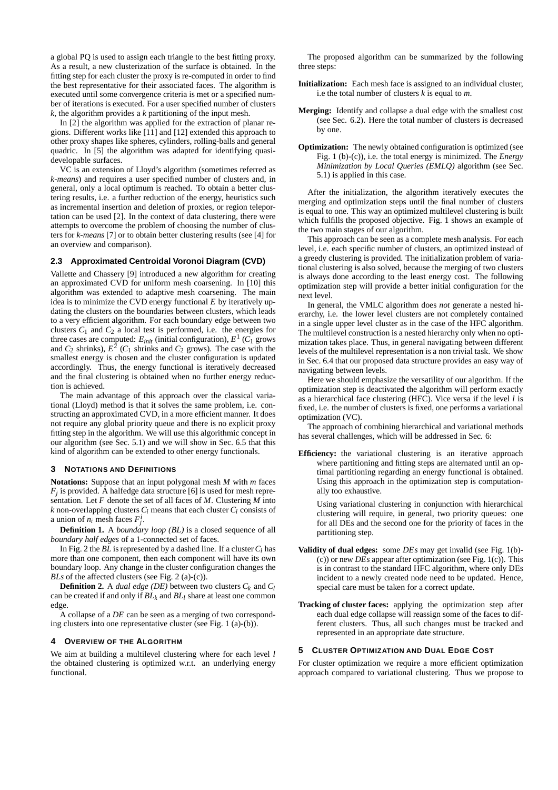a global PQ is used to assign each triangle to the best fitting proxy. As a result, a new clusterization of the surface is obtained. In the fitting step for each cluster the proxy is re-computed in order to find the best representative for their associated faces. The algorithm is executed until some convergence criteria is met or a specified number of iterations is executed. For a user specified number of clusters *k*, the algorithm provides a *k* partitioning of the input mesh.

In [2] the algorithm was applied for the extraction of planar regions. Different works like [11] and [12] extended this approach to other proxy shapes like spheres, cylinders, rolling-balls and general quadric. In [5] the algorithm was adapted for identifying quasidevelopable surfaces.

VC is an extension of Lloyd's algorithm (sometimes referred as *k-means*) and requires a user specified number of clusters and, in general, only a local optimum is reached. To obtain a better clustering results, i.e. a further reduction of the energy, heuristics such as incremental insertion and deletion of proxies, or region teleportation can be used [2]. In the context of data clustering, there were attempts to overcome the problem of choosing the number of clusters for *k-means* [7] or to obtain better clustering results (see [4] for an overview and comparison).

## **2.3 Approximated Centroidal Voronoi Diagram (CVD)**

Vallette and Chassery [9] introduced a new algorithm for creating an approximated CVD for uniform mesh coarsening. In [10] this algorithm was extended to adaptive mesh coarsening. The main idea is to minimize the CVD energy functional *E* by iteratively updating the clusters on the boundaries between clusters, which leads to a very efficient algorithm. For each boundary edge between two clusters  $C_1$  and  $C_2$  a local test is performed, i.e. the energies for three cases are computed:  $E_{init}$  (initial configuration),  $E^1$  ( $C_1$  grows and  $C_2$  shrinks),  $E^2$  ( $C_1$  shrinks and  $C_2$  grows). The case with the smallest energy is chosen and the cluster configuration is updated accordingly. Thus, the energy functional is iteratively decreased and the final clustering is obtained when no further energy reduction is achieved.

The main advantage of this approach over the classical variational (Lloyd) method is that it solves the same problem, i.e. constructing an approximated CVD, in a more efficient manner. It does not require any global priority queue and there is no explicit proxy fitting step in the algorithm. We will use this algorithmic concept in our algorithm (see Sec. 5.1) and we will show in Sec. 6.5 that this kind of algorithm can be extended to other energy functionals.

# **3 NOTATIONS AND DEFINITIONS**

**Notations:** Suppose that an input polygonal mesh *M* with *m* faces  $F_j$  is provided. A halfedge data structure [6] is used for mesh representation. Let *F* denote the set of all faces of *M*. Clustering *M* into *k* non-overlapping clusters  $C_i$  means that each cluster  $C_i$  consists of a union of  $n_i$  mesh faces  $F_j^i$ .

**Definition 1.** A *boundary loop (BL)* is a closed sequence of all *boundary half edges* of a 1-connected set of faces.

In Fig. 2 the *BL* is represented by a dashed line. If a cluster*C<sup>i</sup>* has more than one component, then each component will have its own boundary loop. Any change in the cluster configuration changes the *BLs* of the affected clusters (see Fig. 2 (a)-(c)).

**Definition 2.** A *dual edge (DE)* between two clusters  $C_k$  and  $C_l$ can be created if and only if *BL<sup>k</sup>* and *BL<sup>l</sup>* share at least one common edge.

A collapse of a *DE* can be seen as a merging of two corresponding clusters into one representative cluster (see Fig. 1 (a)-(b)).

#### **4 OVERVIEW OF THE ALGORITHM**

We aim at building a multilevel clustering where for each level *l* the obtained clustering is optimized w.r.t. an underlying energy functional.

The proposed algorithm can be summarized by the following three steps:

- **Initialization:** Each mesh face is assigned to an individual cluster, i.e the total number of clusters *k* is equal to *m*.
- **Merging:** Identify and collapse a dual edge with the smallest cost (see Sec. 6.2). Here the total number of clusters is decreased by one.
- **Optimization:** The newly obtained configuration is optimized (see Fig. 1 (b)-(c)), i.e. the total energy is minimized. The *Energy Minimization by Local Queries (EMLQ)* algorithm (see Sec. 5.1) is applied in this case.

After the initialization, the algorithm iteratively executes the merging and optimization steps until the final number of clusters is equal to one. This way an optimized multilevel clustering is built which fulfills the proposed objective. Fig. 1 shows an example of the two main stages of our algorithm.

This approach can be seen as a complete mesh analysis. For each level, i.e. each specific number of clusters, an optimized instead of a greedy clustering is provided. The initialization problem of variational clustering is also solved, because the merging of two clusters is always done according to the least energy cost. The following optimization step will provide a better initial configuration for the next level.

In general, the VMLC algorithm does *not* generate a nested hierarchy, i.e. the lower level clusters are not completely contained in a single upper level cluster as in the case of the HFC algorithm. The multilevel construction is a nested hierarchy only when no optimization takes place. Thus, in general navigating between different levels of the multilevel representation is a non trivial task. We show in Sec. 6.4 that our proposed data structure provides an easy way of navigating between levels.

Here we should emphasize the versatility of our algorithm. If the optimization step is deactivated the algorithm will perform exactly as a hierarchical face clustering (HFC). Vice versa if the level *l* is fixed, i.e. the number of clusters is fixed, one performs a variational optimization (VC).

The approach of combining hierarchical and variational methods has several challenges, which will be addressed in Sec. 6:

**Efficiency:** the variational clustering is an iterative approach where partitioning and fitting steps are alternated until an optimal partitioning regarding an energy functional is obtained. Using this approach in the optimization step is computationally too exhaustive.

Using variational clustering in conjunction with hierarchical clustering will require, in general, two priority queues: one for all DEs and the second one for the priority of faces in the partitioning step.

- **Validity of dual edges:** some *DEs* may get invalid (see Fig. 1(b)- (c)) or new *DEs* appear after optimization (see Fig. 1(c)). This is in contrast to the standard HFC algorithm, where only DEs incident to a newly created node need to be updated. Hence, special care must be taken for a correct update.
- **Tracking of cluster faces:** applying the optimization step after each dual edge collapse will reassign some of the faces to different clusters. Thus, all such changes must be tracked and represented in an appropriate date structure.

# **5 CLUSTER OPTIMIZATION AND DUAL EDGE COST**

For cluster optimization we require a more efficient optimization approach compared to variational clustering. Thus we propose to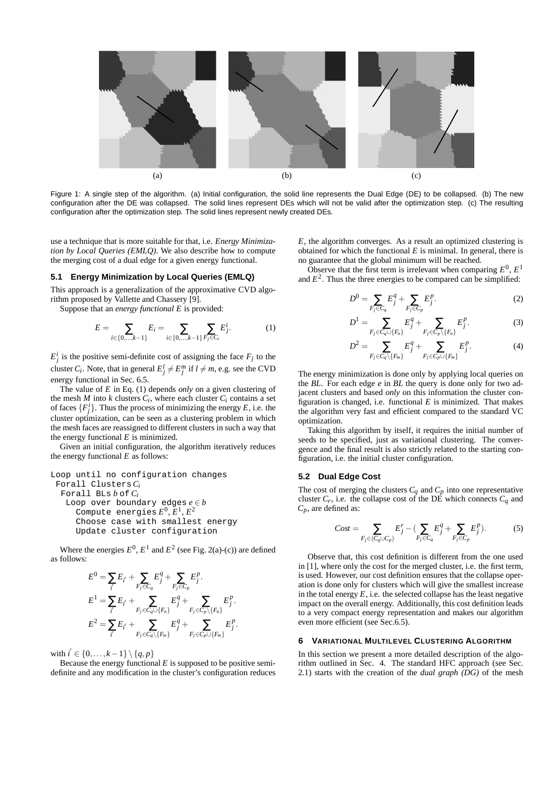

Figure 1: A single step of the algorithm. (a) Initial configuration, the solid line represents the Dual Edge (DE) to be collapsed. (b) The new configuration after the DE was collapsed. The solid lines represent DEs which will not be valid after the optimization step. (c) The resulting configuration after the optimization step. The solid lines represent newly created DEs.

use a technique that is more suitable for that, i.e. *Energy Minimization by Local Queries (EMLQ)*. We also describe how to compute the merging cost of a dual edge for a given energy functional.

#### **5.1 Energy Minimization by Local Queries (EMLQ)**

This approach is a generalization of the approximative CVD algorithm proposed by Vallette and Chassery [9].

Suppose that an *energy functional E* is provided:

$$
E = \sum_{i \in \{0, \dots, k-1\}} E_i = \sum_{i \in \{0, \dots, k-1\}} \sum_{F_j \in C_i} E_j^i.
$$
 (1)

 $E_j^i$  is the positive semi-definite cost of assigning the face  $F_j$  to the cluster  $C_i$ . Note, that in general  $E_j^l \neq E_j^m$  if  $l \neq m$ , e.g. see the CVD energy functional in Sec. 6.5.

The value of *E* in Eq. (1) depends *only* on a given clustering of the mesh *M* into *k* clusters  $C_i$ , where each cluster  $C_i$  contains a set of faces  ${F_j^i}$ . Thus the process of minimizing the energy *E*, i.e. the cluster optimization, can be seen as a clustering problem in which the mesh faces are reassigned to different clusters in such a way that the energy functional  $E$  is minimized.

Given an initial configuration, the algorithm iteratively reduces the energy functional  $E$  as follows:

```
Loop until no configuration changes
Forall Clusters Ci
 Forall BLs b of Ci
  Loop over boundary edges e ∈ b
    Compute energies E^0, E^1, E^2Choose case with smallest energy
    Update cluster configuration
```
Where the energies  $E^0$ ,  $E^1$  and  $E^2$  (see Fig. 2(a)-(c)) are defined as follows:

$$
E^{0} = \sum_{i'} E_{i'} + \sum_{F_{j} \in C_{q}} E_{j}^{q} + \sum_{F_{j} \in C_{p}} E_{j}^{p}.
$$
  
\n
$$
E^{1} = \sum_{i'} E_{i'} + \sum_{F_{j} \in C_{q} \cup \{F_{n}\}} E_{j}^{q} + \sum_{F_{j} \in C_{p} \setminus \{F_{n}\}} E_{j}^{p}.
$$
  
\n
$$
E^{2} = \sum_{i'} E_{i'} + \sum_{F_{j} \in C_{q} \setminus \{F_{m}\}} E_{j}^{q} + \sum_{F_{j} \in C_{p} \cup \{F_{m}\}} E_{j}^{p}.
$$

with  $i^{'} \in \{0, \ldots, k-1\} \setminus \{q, p\}$ 

Because the energy functional  $E$  is supposed to be positive semidefinite and any modification in the cluster's configuration reduces *E*, the algorithm converges. As a result an optimized clustering is obtained for which the functional  $E$  is minimal. In general, there is no guarantee that the global minimum will be reached.

Observe that the first term is irrelevant when comparing  $E^0$ ,  $E^1$ and  $E^2$ . Thus the three energies to be compared can be simplified:

$$
D^{0} = \sum_{F_j \in C_q} E_j^q + \sum_{F_j \in C_p} E_j^p.
$$
 (2)

$$
D^{1} = \sum_{F_{j} \in C_{q} \cup \{F_{n}\}} E_{j}^{q} + \sum_{F_{j} \in C_{p} \setminus \{F_{n}\}} E_{j}^{p}.
$$
 (3)

$$
D^{2} = \sum_{F_{j} \in C_{q} \setminus \{F_{m}\}} E_{j}^{q} + \sum_{F_{j} \in C_{p} \cup \{F_{m}\}} E_{j}^{p}.
$$
 (4)

The energy minimization is done only by applying local queries on the *BL*. For each edge *e* in *BL* the query is done only for two adjacent clusters and based *only* on this information the cluster configuration is changed, i.e. functional  $E$  is minimized. That makes the algorithm very fast and efficient compared to the standard VC optimization.

Taking this algorithm by itself, it requires the initial number of seeds to be specified, just as variational clustering. The convergence and the final result is also strictly related to the starting configuration, i.e. the initial cluster configuration.

# **5.2 Dual Edge Cost**

The cost of merging the clusters  $C_q$  and  $C_p$  into one representative cluster  $C_r$ , i.e. the collapse cost of the DE which connects  $C_q$  and *Cp*, are defined as:

$$
Cost = \sum_{F_j \in (C_q \cup C_p)} E_j^r - \left( \sum_{F_j \in C_q} E_j^q + \sum_{F_j \in C_p} E_j^p \right). \tag{5}
$$

Observe that, this cost definition is different from the one used in [1], where only the cost for the merged cluster, i.e. the first term, is used. However, our cost definition ensures that the collapse operation is done only for clusters which will give the smallest increase in the total energy  $E$ , i.e. the selected collapse has the least negative impact on the overall energy. Additionally, this cost definition leads to a very compact energy representation and makes our algorithm even more efficient (see Sec.6.5).

# **6 VARIATIONAL MULTILEVEL CLUSTERING ALGORITHM**

In this section we present a more detailed description of the algorithm outlined in Sec. 4. The standard HFC approach (see Sec. 2.1) starts with the creation of the *dual graph (DG)* of the mesh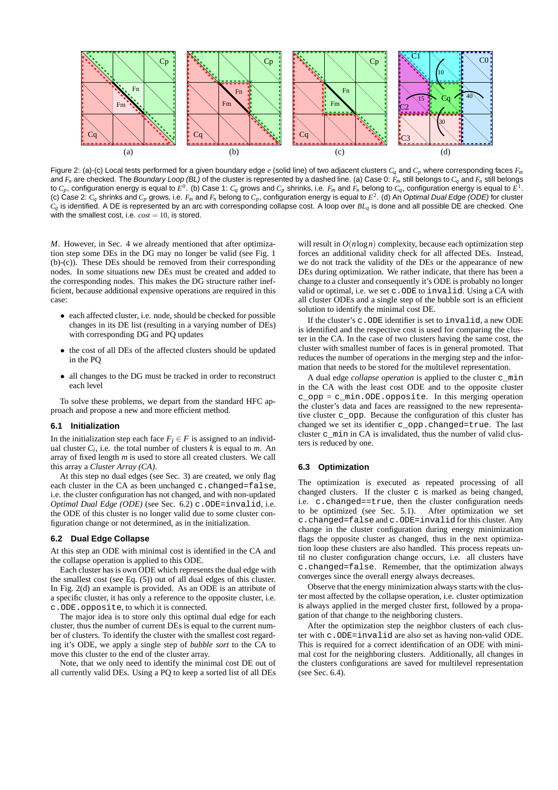

Figure 2: (a)-(c) Local tests performed for a given boundary edge  $e$  (solid line) of two adjacent clusters  $C_q$  and  $C_p$  where corresponding faces  $F_m$ and  $F_n$  are checked. The Boundary Loop (BL) of the cluster is represented by a dashed line. (a) Case 0:  $F_m$  still belongs to  $C_q$  and  $F_n$  still belongs to  $C_p$ , configuration energy is equal to  $E^0$ . (b) Case 1:  $C_q$  grows and  $C_p$  shrinks, i.e.  $F_m$  and  $F_n$  belong to  $C_q$ , configuration energy is equal to  $E^1$ . (c) Case 2:  $C_q$  shrinks and  $C_p$  grows, i.e.  $F_m$  and  $F_n$  belong to  $C_p$ , configuration energy is equal to  $E^2$ . (d) An Optimal Dual Edge (ODE) for cluster  $C_q$  is identified. A DE is represented by an arc with corresponding collapse cost. A loop over  $B_{L_q}$  is done and all possible DE are checked. One with the smallest cost, i.e.  $cost = 10$ , is stored.

*M*. However, in Sec. 4 we already mentioned that after optimization step some DEs in the DG may no longer be valid (see Fig. 1 (b)-(c)). These DEs should be removed from their corresponding nodes. In some situations new DEs must be created and added to the corresponding nodes. This makes the DG structure rather inefficient, because additional expensive operations are required in this case:

- each affected cluster, i.e. node, should be checked for possible changes in its DE list (resulting in a varying number of DEs) with corresponding DG and PQ updates
- the cost of all DEs of the affected clusters should be updated in the PQ
- all changes to the DG must be tracked in order to reconstruct each level

To solve these problems, we depart from the standard HFC approach and propose a new and more efficient method.

# **6.1 Initialization**

In the initialization step each face  $F_j \in F$  is assigned to an individand cluster  $C_i$ , i.e. the total number of clusters  $k$  is equal to  $m$ . An array of fixed length *m* is used to store all created clusters. We call this array a *Cluster Array (CA)*.

At this step no dual edges (see Sec. 3) are created, we only flag each cluster in the CA as been unchanged c.changed=false, i.e. the cluster configuration has not changed, and with non-updated *Optimal Dual Edge (ODE)* (see Sec. 6.2) c.ODE=invalid, i.e. the ODE of this cluster is no longer valid due to some cluster configuration change or not determined, as in the initialization.

## **6.2 Dual Edge Collapse**

At this step an ODE with minimal cost is identified in the CA and the collapse operation is applied to this ODE.

Each cluster has is own ODE which represents the dual edge with the smallest cost (see Eq. (5)) out of all dual edges of this cluster. In Fig. 2(d) an example is provided. As an ODE is an attribute of a specific cluster, it has only a reference to the opposite cluster, i.e. c.ODE.opposite, to which it is connected.

The major idea is to store only this optimal dual edge for each cluster, thus the number of current DEs is equal to the current number of clusters. To identify the cluster with the smallest cost regarding it's ODE, we apply a single step of *bubble sort* to the CA to move this cluster to the end of the cluster array.

Note, that we only need to identify the minimal cost DE out of all currently valid DEs. Using a PQ to keep a sorted list of all DEs will result in *O*(*n*log*n*) complexity, because each optimization step forces an additional validity check for all affected DEs. Instead, we do not track the validity of the DEs or the appearance of new DEs during optimization. We rather indicate, that there has been a change to a cluster and consequently it's ODE is probably no longer valid or optimal, i.e. we set c.ODE to invalid. Using a CA with all cluster ODEs and a single step of the bubble sort is an efficient solution to identify the minimal cost DE.

If the cluster's c.ODE identifier is set to invalid, a new ODE is identified and the respective cost is used for comparing the cluster in the CA. In the case of two clusters having the same cost, the cluster with smallest number of faces is in general promoted. That reduces the number of operations in the merging step and the information that needs to be stored for the multilevel representation.

A dual edge *collapse operation* is applied to the cluster c\_min in the CA with the least cost ODE and to the opposite cluster c\_opp = c\_min.ODE.opposite. In this merging operation the cluster's data and faces are reassigned to the new representative cluster c\_opp. Because the configuration of this cluster has changed we set its identifier c\_opp.changed=true. The last cluster c\_min in CA is invalidated, thus the number of valid clusters is reduced by one.

## **6.3 Optimization**

The optimization is executed as repeated processing of all changed clusters. If the cluster c is marked as being changed, i.e. c.changed==true, then the cluster configuration needs to be optimized (see Sec. 5.1). After optimization we set c.changed=false and c.ODE=invalid for this cluster. Any change in the cluster configuration during energy minimization flags the opposite cluster as changed, thus in the next optimization loop these clusters are also handled. This process repeats until no cluster configuration change occurs, i.e. all clusters have c.changed=false. Remember, that the optimization always converges since the overall energy always decreases.

Observe that the energy minimization always starts with the cluster most affected by the collapse operation, i.e. cluster optimization is always applied in the merged cluster first, followed by a propagation of that change to the neighboring clusters.

After the optimization step the neighbor clusters of each cluster with c.ODE=invalid are also set as having non-valid ODE. This is required for a correct identification of an ODE with minimal cost for the neighboring clusters. Additionally, all changes in the clusters configurations are saved for multilevel representation (see Sec. 6.4).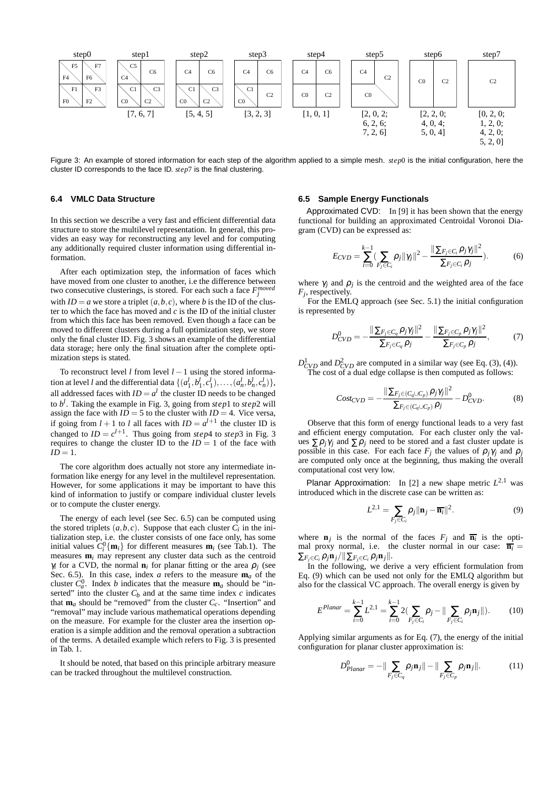

Figure 3: An example of stored information for each step of the algorithm applied to a simple mesh. *step*0 is the initial configuration, here the cluster ID corresponds to the face ID. *step*7 is the final clustering.

# **6.4 VMLC Data Structure**

In this section we describe a very fast and efficient differential data structure to store the multilevel representation. In general, this provides an easy way for reconstructing any level and for computing any additionally required cluster information using differential information.

After each optimization step, the information of faces which have moved from one cluster to another, i.e the difference between two consecutive clusterings, is stored. For each such a face  $F_j^{move}$ with  $ID = a$  we store a triplet  $(a, b, c)$ , where *b* is the ID of the cluster to which the face has moved and *c* is the ID of the initial cluster from which this face has been removed. Even though a face can be moved to different clusters during a full optimization step, we store only the final cluster ID. Fig. 3 shows an example of the differential data storage; here only the final situation after the complete optimization steps is stated.

To reconstruct level *l* from level *l* −1 using the stored information at level *l* and the differential data  $\{(a_1^l, b_1^l, c_1^l), \ldots, (a_n^l, b_n^l, c_n^l)\},$ all addressed faces with  $ID = a^l$  the cluster ID needs to be changed to *b l* . Taking the example in Fig. 3, going from *step*1 to *step*2 will assign the face with  $ID = 5$  to the cluster with  $ID = 4$ . Vice versa, if going from  $l + 1$  to *l* all faces with  $ID = a^{l+1}$  the cluster ID is changed to  $ID = c^{l+1}$ . Thus going from *step*4 to *step*3 in Fig. 3 requires to change the cluster ID to the  $ID = 1$  of the face with  $ID = 1$ .

The core algorithm does actually not store any intermediate information like energy for any level in the multilevel representation. However, for some applications it may be important to have this kind of information to justify or compare individual cluster levels or to compute the cluster energy.

The energy of each level (see Sec. 6.5) can be computed using the stored triplets  $(a, b, c)$ . Suppose that each cluster  $C_i$  in the initialization step, i.e. the cluster consists of one face only, has some initial values  $C_i^0$ {**m**<sub>*i*</sub>} for different measures **m**<sub>*i*</sub> (see Tab.1). The measures **m***<sup>i</sup>* may represent any cluster data such as the centroid  $\gamma$ *i* for a CVD, the normal **n**<sub>*i*</sub> for planar fitting or the area  $\rho$ <sub>*i*</sub> (see Sec. 6.5). In this case, index *a* refers to the measure  $\mathbf{m}_a$  of the cluster  $C_a^0$ . Index *b* indicates that the measure  $\mathbf{m}_a$  should be "inserted" into the cluster  $C_b$  and at the same time index  $c$  indicates that  $\mathbf{m}_a$  should be "removed" from the cluster  $C_c$ . "Insertion" and "removal" may include various mathematical operations depending on the measure. For example for the cluster area the insertion operation is a simple addition and the removal operation a subtraction of the terms. A detailed example which refers to Fig. 3 is presented in Tab. 1.

It should be noted, that based on this principle arbitrary measure can be tracked throughout the multilevel construction.

## **6.5 Sample Energy Functionals**

Approximated CVD: In [9] it has been shown that the energy functional for building an approximated Centroidal Voronoi Diagram (CVD) can be expressed as:

$$
E_{CVD} = \sum_{i=0}^{k-1} \left( \sum_{F_j \in C_i} \rho_j ||\gamma_j||^2 - \frac{||\sum_{F_j \in C_i} \rho_j \gamma_j||^2}{\sum_{F_j \in C_i} \rho_j} \right).
$$
 (6)

where  $\gamma_j$  and  $\rho_j$  is the centroid and the weighted area of the face *Fj* , respectively.

For the EMLQ approach (see Sec. 5.1) the initial configuration is represented by

$$
D_{CVD}^{0} = -\frac{\|\sum_{F_j \in C_q} \rho_j \gamma_j\|^2}{\sum_{F_j \in C_q} \rho_j} - \frac{\|\sum_{F_j \in C_p} \rho_j \gamma_j\|^2}{\sum_{F_j \in C_p} \rho_j},
$$
(7)

 $D_{CVD}^1$  and  $D_{CVD}^2$  are computed in a similar way (see Eq. (3), (4)). The cost of a dual edge collapse is then computed as follows:

$$
Cost_{CVD} = -\frac{\|\sum_{F_j \in (C_q \cup C_p)} \rho_j \gamma_j\|^2}{\sum_{F_j \in (C_q \cup C_p)} \rho_j} - D_{CVD}^0.
$$
 (8)

Observe that this form of energy functional leads to a very fast and efficient energy computation. For each cluster only the values  $\sum \rho_i \gamma_i$  and  $\sum \rho_i$  need to be stored and a fast cluster update is possible in this case. For each face  $F_j$  the values of  $\rho_j \gamma_j$  and  $\rho_j$ are computed only once at the beginning, thus making the overall computational cost very low.

Planar Approximation: In [2] a new shape metric  $L^{2,1}$  was introduced which in the discrete case can be written as:

$$
L^{2,1} = \sum_{F_j \in C_i} \rho_j \|\mathbf{n}_j - \overline{\mathbf{n}}_i\|^2.
$$
 (9)

where  $\mathbf{n}_j$  is the normal of the faces  $F_j$  and  $\overline{\mathbf{n}_i}$  is the optimal proxy normal, i.e. the cluster normal in our case:  $\overline{n_i}$  =  $\sum_{F_j\in C_i}\rho_j\mathbf{n}_j/\|\sum_{F_j\in C_i}\rho_j\mathbf{n}_j\|.$ 

In the following, we derive a very efficient formulation from Eq. (9) which can be used not only for the EMLQ algorithm but also for the classical VC approach. The overall energy is given by

$$
E^{Planar} = \sum_{i=0}^{k-1} L^{2,1} = \sum_{i=0}^{k-1} 2(\sum_{F_j \in C_i} \rho_j - ||\sum_{F_j \in C_i} \rho_j \mathbf{n}_j||). \tag{10}
$$

Applying similar arguments as for Eq. (7), the energy of the initial configuration for planar cluster approximation is:

$$
D_{Planar}^{0} = -\|\sum_{F_j \in C_q} \rho_j \mathbf{n}_j\| - \|\sum_{F_j \in C_p} \rho_j \mathbf{n}_j\|. \tag{11}
$$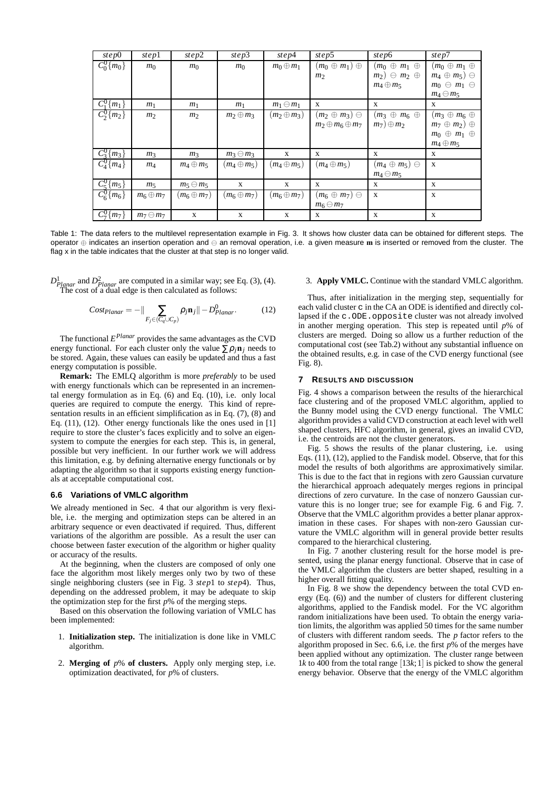| step0          | stepl             | step2              | step3              | step4              | step5                       | ste p6                           | step7                        |
|----------------|-------------------|--------------------|--------------------|--------------------|-----------------------------|----------------------------------|------------------------------|
| $C_0^0\{m_0\}$ | m <sub>0</sub>    | m <sub>0</sub>     | m <sub>0</sub>     | $m_0 \oplus m_1$   | $(m_0 \oplus m_1) \oplus$   | $(m_0 \oplus m_1 \oplus$         | $(m_0 \oplus m_1 \oplus$     |
|                |                   |                    |                    |                    | m <sub>2</sub>              | $m_2$ ) $\ominus$ $m_2$ $\oplus$ | $m_4 \oplus m_5$ ) $\ominus$ |
|                |                   |                    |                    |                    |                             | $m_4 \oplus m_5$                 | $m_0 \oplus m_1 \oplus$      |
|                |                   |                    |                    |                    |                             |                                  | $m_4 \ominus m_5$            |
| $C_1^0\{m_1\}$ | m <sub>1</sub>    | m <sub>1</sub>     | m <sub>1</sub>     | $m_1 \ominus m_1$  | X                           | X                                | X                            |
| $C_2^0\{m_2\}$ | m <sub>2</sub>    | m <sub>2</sub>     | $m_2 \oplus m_3$   | $(m_2 \oplus m_3)$ | $(m_2 \oplus m_3) \ominus$  | $(m_3 \oplus m_6 \oplus$         | $(m_3 \oplus m_6 \oplus$     |
|                |                   |                    |                    |                    | $m_2 \oplus m_6 \oplus m_7$ | $m_7$ ) $\oplus m_2$             | $m_7 \oplus m_2$ ) $\oplus$  |
|                |                   |                    |                    |                    |                             |                                  | $m_0 \oplus m_1 \oplus$      |
|                |                   |                    |                    |                    |                             |                                  | $m_4 \oplus m_5$             |
| $C_3^0\{m_3\}$ | m <sub>3</sub>    | m <sub>3</sub>     | $m_3 \ominus m_3$  | X                  | X                           | X                                | X                            |
| $C_4^0\{m_4\}$ | m <sub>4</sub>    | $m_4 \oplus m_5$   | $(m_4 \oplus m_5)$ | $(m_4 \oplus m_5)$ | $(m_4 \oplus m_5)$          | $(m_4 \oplus m_5) \ominus$       | $\mathbf{x}$                 |
|                |                   |                    |                    |                    |                             | $m_4 \ominus m_5$                |                              |
| $C_5^0\{m_5\}$ | m <sub>5</sub>    | $m_5 \ominus m_5$  | $\mathbf{x}$       | X                  | X                           | X                                | $\mathbf{x}$                 |
| $C_6^0\{m_6\}$ | $m_6 \oplus m_7$  | $(m_6 \oplus m_7)$ | $(m_6 \oplus m_7)$ | $(m_6 \oplus m_7)$ | $(m_6 \oplus m_7) \oplus$   | X                                | X                            |
|                |                   |                    |                    |                    | $m_6 \ominus m_7$           |                                  |                              |
| $C_7^0\{m_7\}$ | $m_7 \ominus m_7$ | $\mathbf{X}$       | X                  | X                  | X                           | $\mathbf{x}$                     | $\mathbf{x}$                 |

Table 1: The data refers to the multilevel representation example in Fig. 3. It shows how cluster data can be obtained for different steps. The operator ⊕ indicates an insertion operation and ⊖ an removal operation, i.e. a given measure **m** is inserted or removed from the cluster. The flag x in the table indicates that the cluster at that step is no longer valid.

 $D^1_{Planar}$  and  $D^2_{Planar}$  are computed in a similar way; see Eq. (3), (4). The cost of a dual edge is then calculated as follows:

$$
Cost_{Planar} = -\|\sum_{F_j \in (C_q \cup C_p)} \rho_j \mathbf{n}_j \| - D_{Planar}^0.
$$
 (12)

The functional *E Planar* provides the same advantages as the CVD energy functional. For each cluster only the value  $\sum \rho_j \mathbf{n}_j$  needs to be stored. Again, these values can easily be updated and thus a fast energy computation is possible.

**Remark:** The EMLQ algorithm is more *preferably* to be used with energy functionals which can be represented in an incremental energy formulation as in Eq.  $(6)$  and Eq.  $(10)$ , i.e. only local queries are required to compute the energy. This kind of representation results in an efficient simplification as in Eq. (7), (8) and Eq. (11), (12). Other energy functionals like the ones used in [1] require to store the cluster's faces explicitly and to solve an eigensystem to compute the energies for each step. This is, in general, possible but very inefficient. In our further work we will address this limitation, e.g. by defining alternative energy functionals or by adapting the algorithm so that it supports existing energy functionals at acceptable computational cost.

## **6.6 Variations of VMLC algorithm**

We already mentioned in Sec. 4 that our algorithm is very flexible, i.e. the merging and optimization steps can be altered in an arbitrary sequence or even deactivated if required. Thus, different variations of the algorithm are possible. As a result the user can choose between faster execution of the algorithm or higher quality or accuracy of the results.

At the beginning, when the clusters are composed of only one face the algorithm most likely merges only two by two of these single neighboring clusters (see in Fig. 3 *step*1 to *step*4). Thus, depending on the addressed problem, it may be adequate to skip the optimization step for the first *p*% of the merging steps.

Based on this observation the following variation of VMLC has been implemented:

- 1. **Initialization step.** The initialization is done like in VMLC algorithm.
- 2. **Merging of** *p*% **of clusters.** Apply only merging step, i.e. optimization deactivated, for *p*% of clusters.

# 3. **Apply VMLC.** Continue with the standard VMLC algorithm.

Thus, after initialization in the merging step, sequentially for each valid cluster c in the CA an ODE is identified and directly collapsed if the c.ODE.opposite cluster was not already involved in another merging operation. This step is repeated until *p*% of clusters are merged. Doing so allow us a further reduction of the computational cost (see Tab.2) without any substantial influence on the obtained results, e.g. in case of the CVD energy functional (see Fig. 8).

#### **7 RESULTS AND DISCUSSION**

Fig. 4 shows a comparison between the results of the hierarchical face clustering and of the proposed VMLC algorithm, applied to the Bunny model using the CVD energy functional. The VMLC algorithm provides a valid CVD construction at each level with well shaped clusters, HFC algorithm, in general, gives an invalid CVD, i.e. the centroids are not the cluster generators.

Fig. 5 shows the results of the planar clustering, i.e. using Eqs. (11), (12), applied to the Fandisk model. Observe, that for this model the results of both algorithms are approximatively similar. This is due to the fact that in regions with zero Gaussian curvature the hierarchical approach adequately merges regions in principal directions of zero curvature. In the case of nonzero Gaussian curvature this is no longer true; see for example Fig. 6 and Fig. 7. Observe that the VMLC algorithm provides a better planar approximation in these cases. For shapes with non-zero Gaussian curvature the VMLC algorithm will in general provide better results compared to the hierarchical clustering.

In Fig. 7 another clustering result for the horse model is presented, using the planar energy functional. Observe that in case of the VMLC algorithm the clusters are better shaped, resulting in a higher overall fitting quality.

In Fig. 8 we show the dependency between the total CVD energy (Eq. (6)) and the number of clusters for different clustering algorithms, applied to the Fandisk model. For the VC algorithm random initializations have been used. To obtain the energy variation limits, the algorithm was applied 50 times for the same number of clusters with different random seeds. The *p* factor refers to the algorithm proposed in Sec. 6.6, i.e. the first *p*% of the merges have been applied without any optimization. The cluster range between 1*k* to 400 from the total range [13*k*; 1] is picked to show the general energy behavior. Observe that the energy of the VMLC algorithm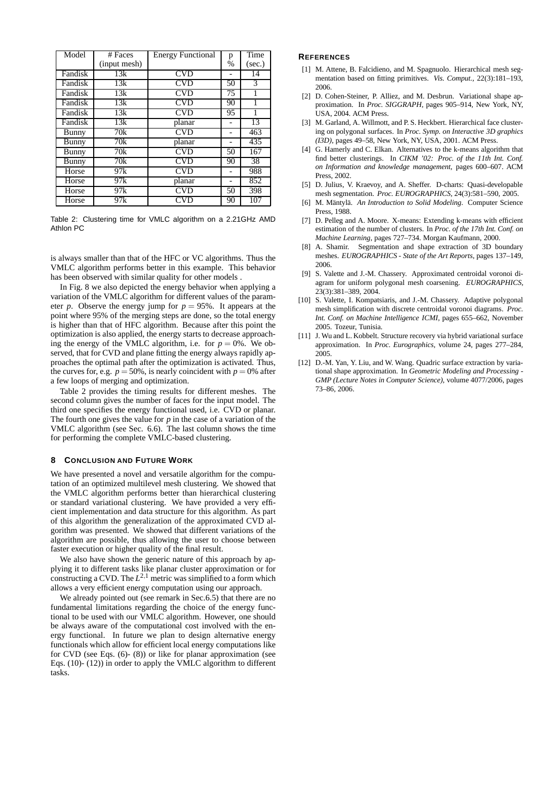| Model        | # Faces      | <b>Energy Functional</b> | p    | Time   |
|--------------|--------------|--------------------------|------|--------|
|              | (input mesh) |                          | $\%$ | (sec.) |
| Fandisk      | 13k          | CVD                      |      | 14     |
| Fandisk      | 13k          | <b>CVD</b>               | 50   | 3      |
| Fandisk      | 13k          | <b>CVD</b>               | 75   |        |
| Fandisk      | 13k          | <b>CVD</b>               | 90   |        |
| Fandisk      | 13k          | <b>CVD</b>               | 95   |        |
| Fandisk      | 13k          | planar                   |      | 13     |
| Bunny        | 70k          | CVD                      |      | 463    |
| Bunny        | 70k          | planar                   |      | 435    |
| <b>Bunny</b> | 70k          | <b>CVD</b>               | 50   | 167    |
| Bunny        | 70k          | CVD                      | 90   | 38     |
| Horse        | 97k          | <b>CVD</b>               |      | 988    |
| Horse        | 97k          | planar                   |      | 852    |
| Horse        | 97k          | <b>CVD</b>               | 50   | 398    |
| Horse        | 97k          | CVD                      | 90   | 107    |

Table 2: Clustering time for VMLC algorithm on a 2.21GHz AMD Athlon PC

is always smaller than that of the HFC or VC algorithms. Thus the VMLC algorithm performs better in this example. This behavior has been observed with similar quality for other models .

In Fig. 8 we also depicted the energy behavior when applying a variation of the VMLC algorithm for different values of the parameter *p*. Observe the energy jump for  $p = 95\%$ . It appears at the point where 95% of the merging steps are done, so the total energy is higher than that of HFC algorithm. Because after this point the optimization is also applied, the energy starts to decrease approaching the energy of the VMLC algorithm, i.e. for  $p = 0$ %. We observed, that for CVD and plane fitting the energy always rapidly approaches the optimal path after the optimization is activated. Thus, the curves for, e.g.  $p = 50\%$ , is nearly coincident with  $p = 0\%$  after a few loops of merging and optimization.

Table 2 provides the timing results for different meshes. The second column gives the number of faces for the input model. The third one specifies the energy functional used, i.e. CVD or planar. The fourth one gives the value for *p* in the case of a variation of the VMLC algorithm (see Sec. 6.6). The last column shows the time for performing the complete VMLC-based clustering.

## **8 CONCLUSION AND FUTURE WORK**

We have presented a novel and versatile algorithm for the computation of an optimized multilevel mesh clustering. We showed that the VMLC algorithm performs better than hierarchical clustering or standard variational clustering. We have provided a very efficient implementation and data structure for this algorithm. As part of this algorithm the generalization of the approximated CVD algorithm was presented. We showed that different variations of the algorithm are possible, thus allowing the user to choose between faster execution or higher quality of the final result.

We also have shown the generic nature of this approach by applying it to different tasks like planar cluster approximation or for constructing a CVD. The  $L^{2,1}$  metric was simplified to a form which allows a very efficient energy computation using our approach.

We already pointed out (see remark in Sec.6.5) that there are no fundamental limitations regarding the choice of the energy functional to be used with our VMLC algorithm. However, one should be always aware of the computational cost involved with the energy functional. In future we plan to design alternative energy functionals which allow for efficient local energy computations like for CVD (see Eqs. (6)- (8)) or like for planar approximation (see Eqs. (10)- (12)) in order to apply the VMLC algorithm to different tasks.

## **REFERENCES**

- [1] M. Attene, B. Falcidieno, and M. Spagnuolo. Hierarchical mesh segmentation based on fitting primitives. *Vis. Comput.*, 22(3):181–193, 2006.
- [2] D. Cohen-Steiner, P. Alliez, and M. Desbrun. Variational shape approximation. In *Proc. SIGGRAPH*, pages 905–914, New York, NY, USA, 2004. ACM Press.
- [3] M. Garland, A. Willmott, and P. S. Heckbert. Hierarchical face clustering on polygonal surfaces. In *Proc. Symp. on Interactive 3D graphics (I3D)*, pages 49–58, New York, NY, USA, 2001. ACM Press.
- [4] G. Hamerly and C. Elkan. Alternatives to the k-means algorithm that find better clusterings. In *CIKM '02: Proc. of the 11th Int. Conf. on Information and knowledge management*, pages 600–607. ACM Press, 2002.
- [5] D. Julius, V. Kraevoy, and A. Sheffer. D-charts: Quasi-developable mesh segmentation. *Proc. EUROGRAPHICS*, 24(3):581–590, 2005.
- [6] M. Mäntylä. An Introduction to Solid Modeling. Computer Science Press, 1988.
- [7] D. Pelleg and A. Moore. X-means: Extending k-means with efficient estimation of the number of clusters. In *Proc. of the 17th Int. Conf. on Machine Learning*, pages 727–734. Morgan Kaufmann, 2000.
- [8] A. Shamir. Segmentation and shape extraction of 3D boundary meshes. *EUROGRAPHICS - State of the Art Reports*, pages 137–149, 2006.
- [9] S. Valette and J.-M. Chassery. Approximated centroidal voronoi diagram for uniform polygonal mesh coarsening. *EUROGRAPHICS*, 23(3):381–389, 2004.
- [10] S. Valette, I. Kompatsiaris, and J.-M. Chassery. Adaptive polygonal mesh simplification with discrete centroidal voronoi diagrams. *Proc. Int. Conf. on Machine Intelligence ICMI*, pages 655–662, November 2005. Tozeur, Tunisia.
- [11] J. Wu and L. Kobbelt. Structure recovery via hybrid variational surface approximation. In *Proc. Eurographics*, volume 24, pages 277–284, 2005.
- [12] D.-M. Yan, Y. Liu, and W. Wang. Quadric surface extraction by variational shape approximation. In *Geometric Modeling and Processing - GMP (Lecture Notes in Computer Science)*, volume 4077/2006, pages 73–86, 2006.